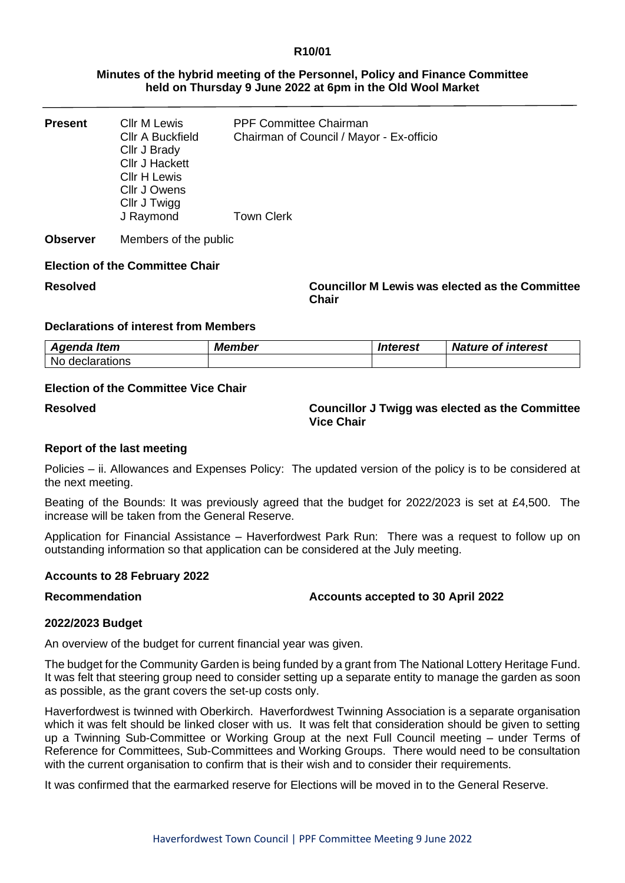#### **R10/01**

### **Minutes of the hybrid meeting of the Personnel, Policy and Finance Committee held on Thursday 9 June 2022 at 6pm in the Old Wool Market**

| Present | <b>CIIr M Lewis</b><br><b>CIIr A Buckfield</b><br>Cllr J Brady<br><b>Cllr J Hackett</b><br><b>CIIr H Lewis</b><br>Cllr J Owens<br>Cllr J Twigg | <b>PPF Committee Chairman</b><br>Chairman of Council / Mayor - Ex-officio |
|---------|------------------------------------------------------------------------------------------------------------------------------------------------|---------------------------------------------------------------------------|
|         | J Raymond                                                                                                                                      | <b>Town Clerk</b>                                                         |

**Observer** Members of the public

#### **Election of the Committee Chair**

**Resolved Councillor M Lewis was elected as the Committee Chair**

## **Declarations of interest from Members**

| Agenda Item         | <b>Member</b> | Interest | <b>Nature of interest</b> |
|---------------------|---------------|----------|---------------------------|
| No.<br>declarations |               |          |                           |

## **Election of the Committee Vice Chair**

**Resolved Councillor J Twigg was elected as the Committee Vice Chair**

#### **Report of the last meeting**

Policies – ii. Allowances and Expenses Policy: The updated version of the policy is to be considered at the next meeting.

Beating of the Bounds: It was previously agreed that the budget for 2022/2023 is set at £4,500. The increase will be taken from the General Reserve.

Application for Financial Assistance – Haverfordwest Park Run: There was a request to follow up on outstanding information so that application can be considered at the July meeting.

#### **Accounts to 28 February 2022**

#### **Recommendation Accounts accepted to 30 April 2022**

#### **2022/2023 Budget**

An overview of the budget for current financial year was given.

The budget for the Community Garden is being funded by a grant from The National Lottery Heritage Fund. It was felt that steering group need to consider setting up a separate entity to manage the garden as soon as possible, as the grant covers the set-up costs only.

Haverfordwest is twinned with Oberkirch. Haverfordwest Twinning Association is a separate organisation which it was felt should be linked closer with us. It was felt that consideration should be given to setting up a Twinning Sub-Committee or Working Group at the next Full Council meeting – under Terms of Reference for Committees, Sub-Committees and Working Groups. There would need to be consultation with the current organisation to confirm that is their wish and to consider their requirements.

It was confirmed that the earmarked reserve for Elections will be moved in to the General Reserve.